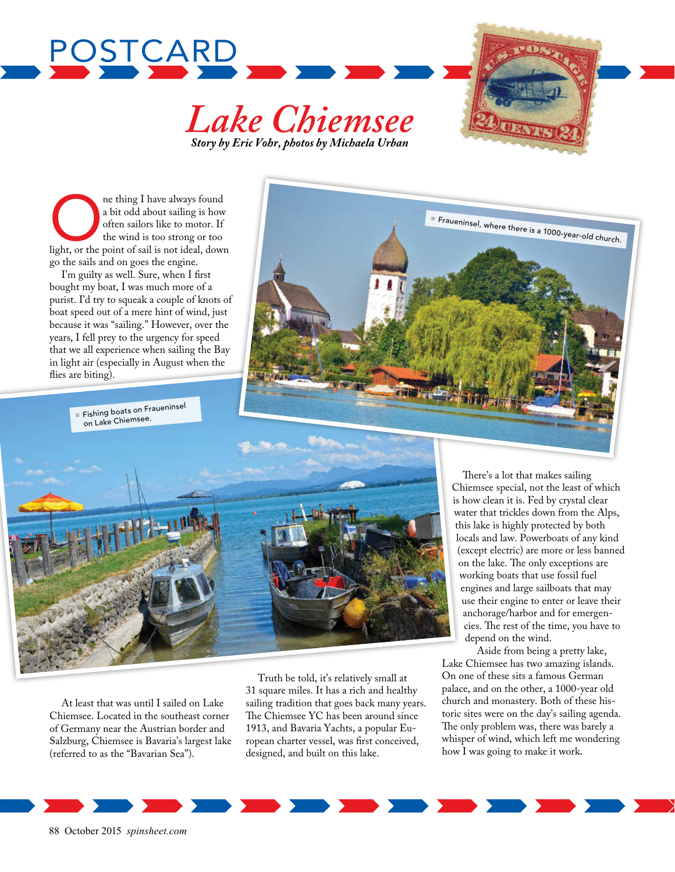





O ne thing I have always found a bit odd about sailing is how often sailors like to motor. If the wind is too strong or too light, or the point of sail is not ideal, down go the sails and on goes the engine.

I'm guilty as well. Sure, when I first bought my boat, I was much more of a purist. I'd try to squeak a couple of knots of boat speed out of a mere hint of wind, just because it was "sailing." However, over the years, I fell prey to the urgency for speed that we all experience when sailing the Bay in light air (especially in August when the flies are biting).



**Fishing boats on Fraueninsel** on Lake Chiemsee.



At least that was until I sailed on Lake Chiemsee. Located in the southeast corner of Germany near the Austrian border and Salzburg, Chiemsee is Bavaria's largest lake (referred to as the "Bavarian Sea").

Truth be told, it's relatively small at 31 square miles. It has a rich and healthy sailing tradition that goes back many years. The Chiemsee YC has been around since 1913, and Bavaria Yachts, a popular European charter vessel, was first conceived, designed, and built on this lake.

There's a lot that makes sailing Chiemsee special, not the least of which is how clean it is. Fed by crystal clear water that trickles down from the Alps, this lake is highly protected by both locals and law. Powerboats of any kind (except electric) are more or less banned on the lake. The only exceptions are working boats that use fossil fuel engines and large sailboats that may use their engine to enter or leave their anchorage/harbor and for emergencies. The rest of the time, you have to depend on the wind.

Aside from being a pretty lake, Lake Chiemsee has two amazing islands. On one of these sits a famous German palace, and on the other, a 1000-year old church and monastery. Both of these historic sites were on the day's sailing agenda. The only problem was, there was barely a whisper of wind, which left me wondering how I was going to make it work.

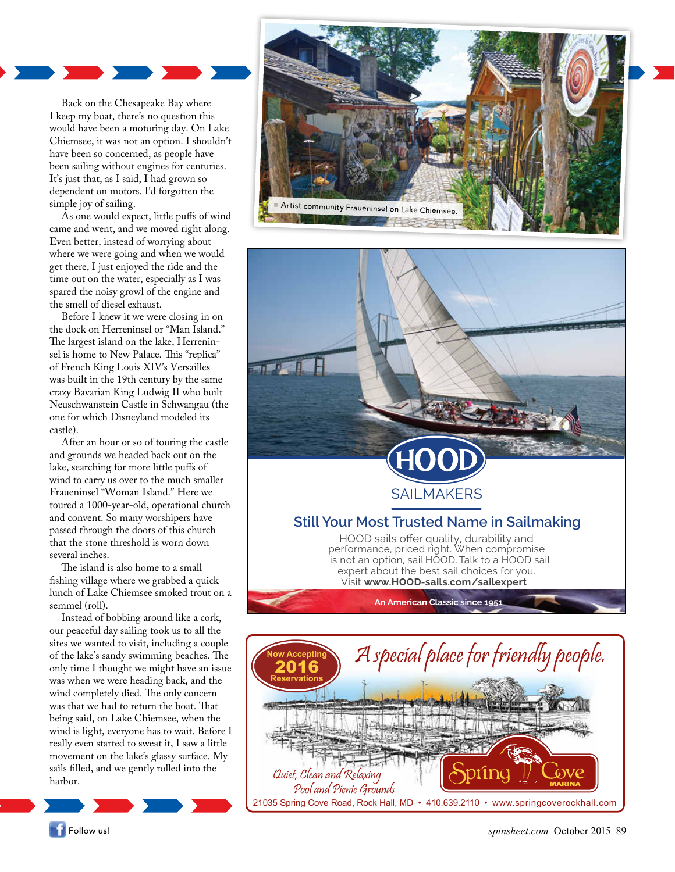

Back on the Chesapeake Bay where I keep my boat, there's no question this would have been a motoring day. On Lake Chiemsee, it was not an option. I shouldn't have been so concerned, as people have been sailing without engines for centuries. It's just that, as I said, I had grown so dependent on motors. I'd forgotten the simple joy of sailing.

As one would expect, little puffs of wind came and went, and we moved right along. Even better, instead of worrying about where we were going and when we would get there, I just enjoyed the ride and the time out on the water, especially as I was spared the noisy growl of the engine and the smell of diesel exhaust.

Before I knew it we were closing in on the dock on Herreninsel or "Man Island." The largest island on the lake, Herreninsel is home to New Palace. This "replica" of French King Louis XIV's Versailles was built in the 19th century by the same crazy Bavarian King Ludwig II who built Neuschwanstein Castle in Schwangau (the one for which Disneyland modeled its castle).

After an hour or so of touring the castle and grounds we headed back out on the lake, searching for more little puffs of wind to carry us over to the much smaller Fraueninsel "Woman Island." Here we toured a 1000-year-old, operational church and convent. So many worshipers have passed through the doors of this church that the stone threshold is worn down several inches.

The island is also home to a small fishing village where we grabbed a quick lunch of Lake Chiemsee smoked trout on a semmel (roll).

Instead of bobbing around like a cork, our peaceful day sailing took us to all the sites we wanted to visit, including a couple of the lake's sandy swimming beaches. The only time I thought we might have an issue was when we were heading back, and the wind completely died. The only concern was that we had to return the boat. That being said, on Lake Chiemsee, when the wind is light, everyone has to wait. Before I really even started to sweat it, I saw a little movement on the lake's glassy surface. My sails filled, and we gently rolled into the harbor.